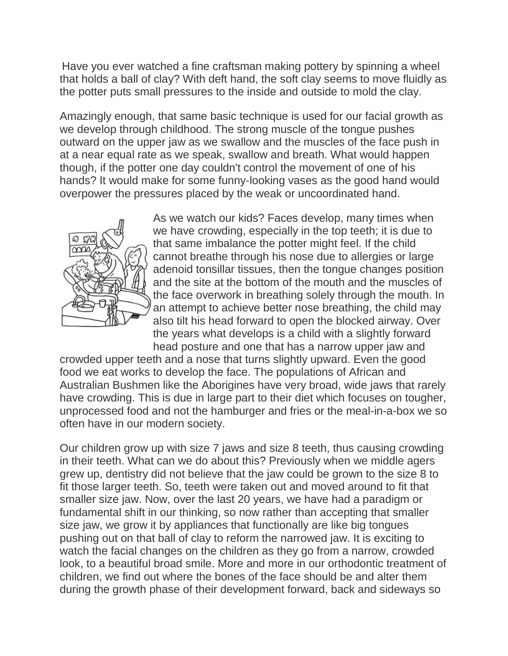Have you ever watched a fine craftsman making pottery by spinning a wheel that holds a ball of clay? With deft hand, the soft clay seems to move fluidly as the potter puts small pressures to the inside and outside to mold the clay.

Amazingly enough, that same basic technique is used for our facial growth as we develop through childhood. The strong muscle of the tongue pushes outward on the upper jaw as we swallow and the muscles of the face push in at a near equal rate as we speak, swallow and breath. What would happen though, if the potter one day couldn't control the movement of one of his hands? It would make for some funny-looking vases as the good hand would overpower the pressures placed by the weak or uncoordinated hand.



As we watch our kids? Faces develop, many times when we have crowding, especially in the top teeth; it is due to that same imbalance the potter might feel. If the child cannot breathe through his nose due to allergies or large adenoid tonsillar tissues, then the tongue changes position and the site at the bottom of the mouth and the muscles of the face overwork in breathing solely through the mouth. In an attempt to achieve better nose breathing, the child may also tilt his head forward to open the blocked airway. Over the years what develops is a child with a slightly forward head posture and one that has a narrow upper jaw and

crowded upper teeth and a nose that turns slightly upward. Even the good food we eat works to develop the face. The populations of African and Australian Bushmen like the Aborigines have very broad, wide jaws that rarely have crowding. This is due in large part to their diet which focuses on tougher, unprocessed food and not the hamburger and fries or the meal-in-a-box we so often have in our modern society.

Our children grow up with size 7 jaws and size 8 teeth, thus causing crowding in their teeth. What can we do about this? Previously when we middle agers grew up, dentistry did not believe that the jaw could be grown to the size 8 to fit those larger teeth. So, teeth were taken out and moved around to fit that smaller size jaw. Now, over the last 20 years, we have had a paradigm or fundamental shift in our thinking, so now rather than accepting that smaller size jaw, we grow it by appliances that functionally are like big tongues pushing out on that ball of clay to reform the narrowed jaw. It is exciting to watch the facial changes on the children as they go from a narrow, crowded look, to a beautiful broad smile. More and more in our orthodontic treatment of children, we find out where the bones of the face should be and alter them during the growth phase of their development forward, back and sideways so